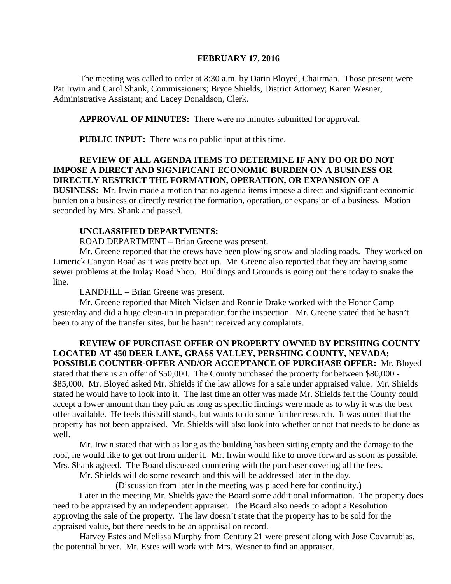#### **FEBRUARY 17, 2016**

The meeting was called to order at 8:30 a.m. by Darin Bloyed, Chairman. Those present were Pat Irwin and Carol Shank, Commissioners; Bryce Shields, District Attorney; Karen Wesner, Administrative Assistant; and Lacey Donaldson, Clerk.

**APPROVAL OF MINUTES:** There were no minutes submitted for approval.

 **PUBLIC INPUT:** There was no public input at this time.

#### **REVIEW OF ALL AGENDA ITEMS TO DETERMINE IF ANY DO OR DO NOT IMPOSE A DIRECT AND SIGNIFICANT ECONOMIC BURDEN ON A BUSINESS OR DIRECTLY RESTRICT THE FORMATION, OPERATION, OR EXPANSION OF A**

**BUSINESS:** Mr. Irwin made a motion that no agenda items impose a direct and significant economic burden on a business or directly restrict the formation, operation, or expansion of a business. Motion seconded by Mrs. Shank and passed.

#### **UNCLASSIFIED DEPARTMENTS:**

ROAD DEPARTMENT – Brian Greene was present.

Mr. Greene reported that the crews have been plowing snow and blading roads. They worked on Limerick Canyon Road as it was pretty beat up. Mr. Greene also reported that they are having some sewer problems at the Imlay Road Shop. Buildings and Grounds is going out there today to snake the line.

LANDFILL – Brian Greene was present.

Mr. Greene reported that Mitch Nielsen and Ronnie Drake worked with the Honor Camp yesterday and did a huge clean-up in preparation for the inspection. Mr. Greene stated that he hasn't been to any of the transfer sites, but he hasn't received any complaints.

**REVIEW OF PURCHASE OFFER ON PROPERTY OWNED BY PERSHING COUNTY LOCATED AT 450 DEER LANE, GRASS VALLEY, PERSHING COUNTY, NEVADA; POSSIBLE COUNTER-OFFER AND/OR ACCEPTANCE OF PURCHASE OFFER:** Mr. Bloyed stated that there is an offer of \$50,000. The County purchased the property for between \$80,000 - \$85,000. Mr. Bloyed asked Mr. Shields if the law allows for a sale under appraised value. Mr. Shields stated he would have to look into it. The last time an offer was made Mr. Shields felt the County could accept a lower amount than they paid as long as specific findings were made as to why it was the best offer available. He feels this still stands, but wants to do some further research. It was noted that the property has not been appraised. Mr. Shields will also look into whether or not that needs to be done as well.

Mr. Irwin stated that with as long as the building has been sitting empty and the damage to the roof, he would like to get out from under it. Mr. Irwin would like to move forward as soon as possible. Mrs. Shank agreed. The Board discussed countering with the purchaser covering all the fees.

Mr. Shields will do some research and this will be addressed later in the day.

(Discussion from later in the meeting was placed here for continuity.)

Later in the meeting Mr. Shields gave the Board some additional information. The property does need to be appraised by an independent appraiser. The Board also needs to adopt a Resolution approving the sale of the property. The law doesn't state that the property has to be sold for the appraised value, but there needs to be an appraisal on record.

Harvey Estes and Melissa Murphy from Century 21 were present along with Jose Covarrubias, the potential buyer. Mr. Estes will work with Mrs. Wesner to find an appraiser.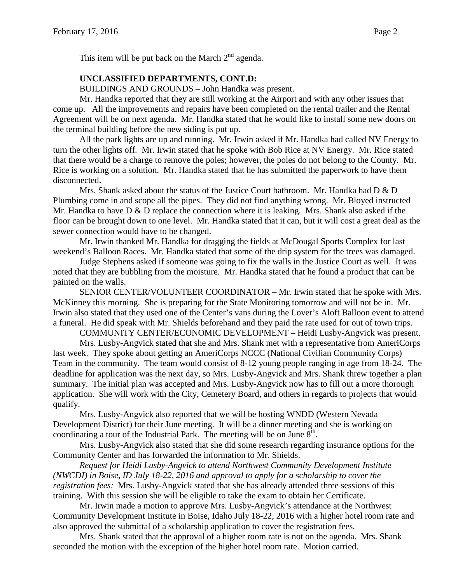This item will be put back on the March  $2<sup>nd</sup>$  agenda.

#### **UNCLASSIFIED DEPARTMENTS, CONT.D:**

BUILDINGS AND GROUNDS – John Handka was present.

Mr. Handka reported that they are still working at the Airport and with any other issues that come up. All the improvements and repairs have been completed on the rental trailer and the Rental Agreement will be on next agenda. Mr. Handka stated that he would like to install some new doors on the terminal building before the new siding is put up.

All the park lights are up and running. Mr. Irwin asked if Mr. Handka had called NV Energy to turn the other lights off. Mr. Irwin stated that he spoke with Bob Rice at NV Energy. Mr. Rice stated that there would be a charge to remove the poles; however, the poles do not belong to the County. Mr. Rice is working on a solution. Mr. Handka stated that he has submitted the paperwork to have them disconnected.

Mrs. Shank asked about the status of the Justice Court bathroom. Mr. Handka had  $D \& D$ Plumbing come in and scope all the pipes. They did not find anything wrong. Mr. Bloyed instructed Mr. Handka to have D & D replace the connection where it is leaking. Mrs. Shank also asked if the floor can be brought down to one level. Mr. Handka stated that it can, but it will cost a great deal as the sewer connection would have to be changed.

Mr. Irwin thanked Mr. Handka for dragging the fields at McDougal Sports Complex for last weekend's Balloon Races. Mr. Handka stated that some of the drip system for the trees was damaged.

Judge Stephens asked if someone was going to fix the walls in the Justice Court as well. It was noted that they are bubbling from the moisture. Mr. Handka stated that he found a product that can be painted on the walls.

SENIOR CENTER/VOLUNTEER COORDINATOR – Mr. Irwin stated that he spoke with Mrs. McKinney this morning. She is preparing for the State Monitoring tomorrow and will not be in. Mr. Irwin also stated that they used one of the Center's vans during the Lover's Aloft Balloon event to attend a funeral. He did speak with Mr. Shields beforehand and they paid the rate used for out of town trips.

COMMUNITY CENTER/ECONOMIC DEVELOPMENT – Heidi Lusby-Angvick was present.

Mrs. Lusby-Angvick stated that she and Mrs. Shank met with a representative from AmeriCorps last week. They spoke about getting an AmeriCorps NCCC (National Civilian Community Corps) Team in the community. The team would consist of 8-12 young people ranging in age from 18-24. The deadline for application was the next day, so Mrs. Lusby-Angvick and Mrs. Shank threw together a plan summary. The initial plan was accepted and Mrs. Lusby-Angvick now has to fill out a more thorough application. She will work with the City, Cemetery Board, and others in regards to projects that would qualify.

Mrs. Lusby-Angvick also reported that we will be hosting WNDD (Western Nevada Development District) for their June meeting. It will be a dinner meeting and she is working on coordinating a tour of the Industrial Park. The meeting will be on June  $8<sup>th</sup>$ .

Mrs. Lusby-Angvick also stated that she did some research regarding insurance options for the Community Center and has forwarded the information to Mr. Shields.

*Request for Heidi Lusby-Angvick to attend Northwest Community Development Institute (NWCDI) in Boise, ID July 18-22, 2016 and approval to apply for a scholarship to cover the registration fees:* Mrs. Lusby-Angvick stated that she has already attended three sessions of this training. With this session she will be eligible to take the exam to obtain her Certificate.

Mr. Irwin made a motion to approve Mrs. Lusby-Angvick's attendance at the Northwest Community Development Institute in Boise, Idaho July 18-22, 2016 with a higher hotel room rate and also approved the submittal of a scholarship application to cover the registration fees.

Mrs. Shank stated that the approval of a higher room rate is not on the agenda. Mrs. Shank seconded the motion with the exception of the higher hotel room rate. Motion carried.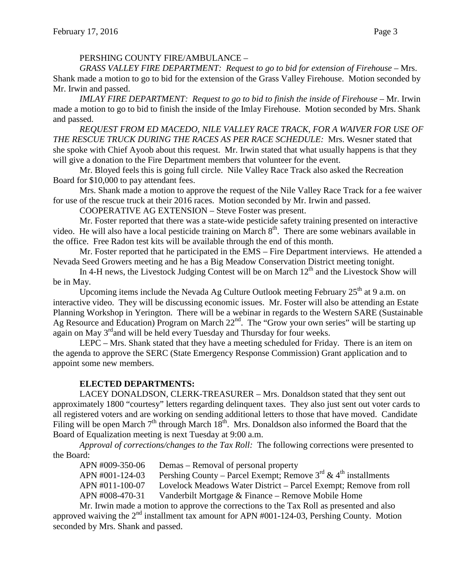## PERSHING COUNTY FIRE/AMBULANCE –

*GRASS VALLEY FIRE DEPARTMENT: Request to go to bid for extension of Firehouse –* Mrs. Shank made a motion to go to bid for the extension of the Grass Valley Firehouse. Motion seconded by Mr. Irwin and passed.

*IMLAY FIRE DEPARTMENT: Request to go to bid to finish the inside of Firehouse –* Mr. Irwin made a motion to go to bid to finish the inside of the Imlay Firehouse. Motion seconded by Mrs. Shank and passed.

*REQUEST FROM ED MACEDO, NILE VALLEY RACE TRACK, FOR A WAIVER FOR USE OF THE RESCUE TRUCK DURING THE RACES AS PER RACE SCHEDULE:* Mrs. Wesner stated that she spoke with Chief Ayoob about this request. Mr. Irwin stated that what usually happens is that they will give a donation to the Fire Department members that volunteer for the event.

Mr. Bloyed feels this is going full circle. Nile Valley Race Track also asked the Recreation Board for \$10,000 to pay attendant fees.

Mrs. Shank made a motion to approve the request of the Nile Valley Race Track for a fee waiver for use of the rescue truck at their 2016 races. Motion seconded by Mr. Irwin and passed.

COOPERATIVE AG EXTENSION – Steve Foster was present.

Mr. Foster reported that there was a state-wide pesticide safety training presented on interactive video. He will also have a local pesticide training on March 8<sup>th</sup>. There are some webinars available in the office. Free Radon test kits will be available through the end of this month.

Mr. Foster reported that he participated in the EMS – Fire Department interviews. He attended a Nevada Seed Growers meeting and he has a Big Meadow Conservation District meeting tonight.

In 4-H news, the Livestock Judging Contest will be on March  $12<sup>th</sup>$  and the Livestock Show will be in May.

Upcoming items include the Nevada Ag Culture Outlook meeting February  $25<sup>th</sup>$  at 9 a.m. on interactive video. They will be discussing economic issues. Mr. Foster will also be attending an Estate Planning Workshop in Yerington. There will be a webinar in regards to the Western SARE (Sustainable Ag Resource and Education) Program on March 22<sup>nd</sup>. The "Grow your own series" will be starting up again on May 3<sup>rd</sup>and will be held every Tuesday and Thursday for four weeks.

LEPC – Mrs. Shank stated that they have a meeting scheduled for Friday. There is an item on the agenda to approve the SERC (State Emergency Response Commission) Grant application and to appoint some new members.

# **ELECTED DEPARTMENTS:**

LACEY DONALDSON, CLERK-TREASURER – Mrs. Donaldson stated that they sent out approximately 1800 "courtesy" letters regarding delinquent taxes. They also just sent out voter cards to all registered voters and are working on sending additional letters to those that have moved. Candidate Filing will be open March  $7<sup>th</sup>$  through March  $18<sup>th</sup>$ . Mrs. Donaldson also informed the Board that the Board of Equalization meeting is next Tuesday at 9:00 a.m.

*Approval of corrections/changes to the Tax Roll:* The following corrections were presented to the Board:

APN #009-350-06 Demas – Removal of personal property APN #001-124-03 Pershing County – Parcel Exempt; Remove  $3^{rd}$  & 4<sup>th</sup> installments APN #011-100-07 Lovelock Meadows Water District – Parcel Exempt; Remove from roll APN #008-470-31 Vanderbilt Mortgage & Finance – Remove Mobile Home

Mr. Irwin made a motion to approve the corrections to the Tax Roll as presented and also approved waiving the  $2<sup>nd</sup>$  installment tax amount for APN #001-124-03, Pershing County. Motion seconded by Mrs. Shank and passed.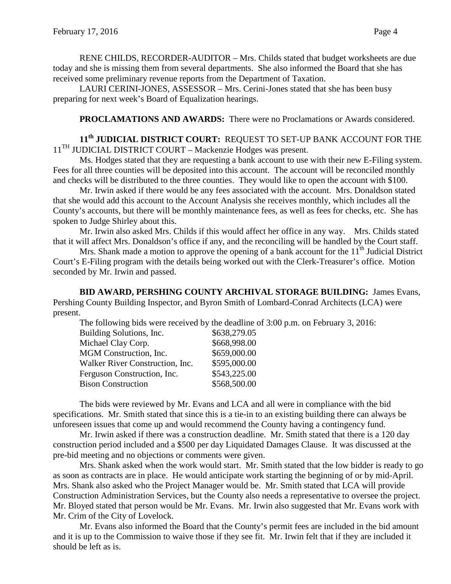RENE CHILDS, RECORDER-AUDITOR – Mrs. Childs stated that budget worksheets are due today and she is missing them from several departments. She also informed the Board that she has received some preliminary revenue reports from the Department of Taxation.

LAURI CERINI-JONES, ASSESSOR – Mrs. Cerini-Jones stated that she has been busy preparing for next week's Board of Equalization hearings.

**PROCLAMATIONS AND AWARDS:** There were no Proclamations or Awards considered.

**11th JUDICIAL DISTRICT COURT:** REQUEST TO SET-UP BANK ACCOUNT FOR THE  $11<sup>TH</sup>$  JUDICIAL DISTRICT COURT – Mackenzie Hodges was present.

Ms. Hodges stated that they are requesting a bank account to use with their new E-Filing system. Fees for all three counties will be deposited into this account. The account will be reconciled monthly and checks will be distributed to the three counties. They would like to open the account with \$100.

Mr. Irwin asked if there would be any fees associated with the account. Mrs. Donaldson stated that she would add this account to the Account Analysis she receives monthly, which includes all the County's accounts, but there will be monthly maintenance fees, as well as fees for checks, etc. She has spoken to Judge Shirley about this.

Mr. Irwin also asked Mrs. Childs if this would affect her office in any way. Mrs. Childs stated that it will affect Mrs. Donaldson's office if any, and the reconciling will be handled by the Court staff.

Mrs. Shank made a motion to approve the opening of a bank account for the  $11<sup>th</sup>$  Judicial District Court's E-Filing program with the details being worked out with the Clerk-Treasurer's office. Motion seconded by Mr. Irwin and passed.

**BID AWARD, PERSHING COUNTY ARCHIVAL STORAGE BUILDING:** James Evans, Pershing County Building Inspector, and Byron Smith of Lombard-Conrad Architects (LCA) were present.

The following bids were received by the deadline of 3:00 p.m. on February 3, 2016:

| Building Solutions, Inc.               | \$638,279.05 |
|----------------------------------------|--------------|
| Michael Clay Corp.                     | \$668,998.00 |
| MGM Construction, Inc.                 | \$659,000.00 |
| <b>Walker River Construction, Inc.</b> | \$595,000.00 |
| Ferguson Construction, Inc.            | \$543,225.00 |
| <b>Bison Construction</b>              | \$568,500.00 |

The bids were reviewed by Mr. Evans and LCA and all were in compliance with the bid specifications. Mr. Smith stated that since this is a tie-in to an existing building there can always be unforeseen issues that come up and would recommend the County having a contingency fund.

Mr. Irwin asked if there was a construction deadline. Mr. Smith stated that there is a 120 day construction period included and a \$500 per day Liquidated Damages Clause. It was discussed at the pre-bid meeting and no objections or comments were given.

Mrs. Shank asked when the work would start. Mr. Smith stated that the low bidder is ready to go as soon as contracts are in place. He would anticipate work starting the beginning of or by mid-April. Mrs. Shank also asked who the Project Manager would be. Mr. Smith stated that LCA will provide Construction Administration Services, but the County also needs a representative to oversee the project. Mr. Bloyed stated that person would be Mr. Evans. Mr. Irwin also suggested that Mr. Evans work with Mr. Crim of the City of Lovelock.

Mr. Evans also informed the Board that the County's permit fees are included in the bid amount and it is up to the Commission to waive those if they see fit. Mr. Irwin felt that if they are included it should be left as is.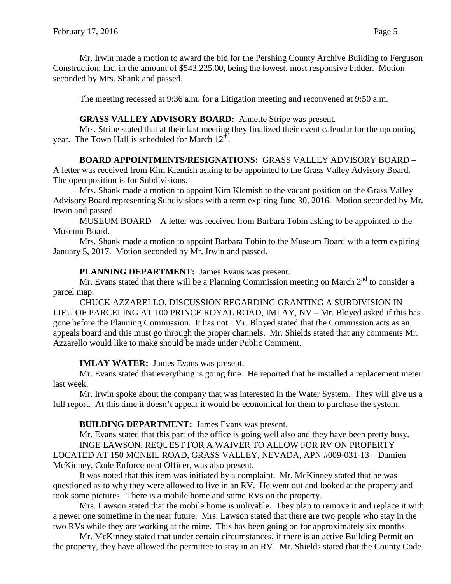Mr. Irwin made a motion to award the bid for the Pershing County Archive Building to Ferguson Construction, Inc. in the amount of \$543,225.00, being the lowest, most responsive bidder. Motion seconded by Mrs. Shank and passed.

The meeting recessed at 9:36 a.m. for a Litigation meeting and reconvened at 9:50 a.m.

#### **GRASS VALLEY ADVISORY BOARD:** Annette Stripe was present.

Mrs. Stripe stated that at their last meeting they finalized their event calendar for the upcoming year. The Town Hall is scheduled for March  $12<sup>th</sup>$ .

## **BOARD APPOINTMENTS/RESIGNATIONS:** GRASS VALLEY ADVISORY BOARD –

A letter was received from Kim Klemish asking to be appointed to the Grass Valley Advisory Board. The open position is for Subdivisions.

Mrs. Shank made a motion to appoint Kim Klemish to the vacant position on the Grass Valley Advisory Board representing Subdivisions with a term expiring June 30, 2016. Motion seconded by Mr. Irwin and passed.

MUSEUM BOARD – A letter was received from Barbara Tobin asking to be appointed to the Museum Board.

Mrs. Shank made a motion to appoint Barbara Tobin to the Museum Board with a term expiring January 5, 2017. Motion seconded by Mr. Irwin and passed.

#### **PLANNING DEPARTMENT:** James Evans was present.

Mr. Evans stated that there will be a Planning Commission meeting on March  $2<sup>nd</sup>$  to consider a parcel map.

CHUCK AZZARELLO, DISCUSSION REGARDING GRANTING A SUBDIVISION IN LIEU OF PARCELING AT 100 PRINCE ROYAL ROAD, IMLAY, NV – Mr. Bloyed asked if this has gone before the Planning Commission. It has not. Mr. Bloyed stated that the Commission acts as an appeals board and this must go through the proper channels. Mr. Shields stated that any comments Mr. Azzarello would like to make should be made under Public Comment.

**IMLAY WATER:** James Evans was present.

Mr. Evans stated that everything is going fine. He reported that he installed a replacement meter last week.

Mr. Irwin spoke about the company that was interested in the Water System. They will give us a full report. At this time it doesn't appear it would be economical for them to purchase the system.

### **BUILDING DEPARTMENT:** James Evans was present.

Mr. Evans stated that this part of the office is going well also and they have been pretty busy. INGE LAWSON, REQUEST FOR A WAIVER TO ALLOW FOR RV ON PROPERTY LOCATED AT 150 MCNEIL ROAD, GRASS VALLEY, NEVADA, APN #009-031-13 – Damien McKinney, Code Enforcement Officer, was also present.

It was noted that this item was initiated by a complaint. Mr. McKinney stated that he was questioned as to why they were allowed to live in an RV. He went out and looked at the property and took some pictures. There is a mobile home and some RVs on the property.

Mrs. Lawson stated that the mobile home is unlivable. They plan to remove it and replace it with a newer one sometime in the near future. Mrs. Lawson stated that there are two people who stay in the two RVs while they are working at the mine. This has been going on for approximately six months.

Mr. McKinney stated that under certain circumstances, if there is an active Building Permit on the property, they have allowed the permittee to stay in an RV. Mr. Shields stated that the County Code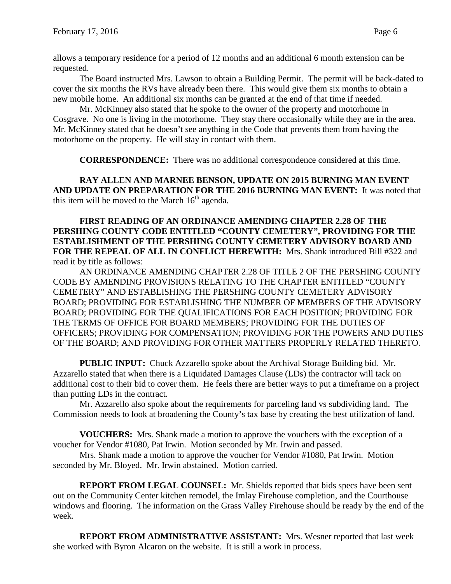allows a temporary residence for a period of 12 months and an additional 6 month extension can be requested.

The Board instructed Mrs. Lawson to obtain a Building Permit. The permit will be back-dated to cover the six months the RVs have already been there. This would give them six months to obtain a new mobile home. An additional six months can be granted at the end of that time if needed.

Mr. McKinney also stated that he spoke to the owner of the property and motorhome in Cosgrave. No one is living in the motorhome. They stay there occasionally while they are in the area. Mr. McKinney stated that he doesn't see anything in the Code that prevents them from having the motorhome on the property. He will stay in contact with them.

**CORRESPONDENCE:** There was no additional correspondence considered at this time.

**RAY ALLEN AND MARNEE BENSON, UPDATE ON 2015 BURNING MAN EVENT AND UPDATE ON PREPARATION FOR THE 2016 BURNING MAN EVENT:** It was noted that this item will be moved to the March  $16<sup>th</sup>$  agenda.

**FIRST READING OF AN ORDINANCE AMENDING CHAPTER 2.28 OF THE PERSHING COUNTY CODE ENTITLED "COUNTY CEMETERY", PROVIDING FOR THE ESTABLISHMENT OF THE PERSHING COUNTY CEMETERY ADVISORY BOARD AND FOR THE REPEAL OF ALL IN CONFLICT HEREWITH:** Mrs. Shank introduced Bill #322 and read it by title as follows:

AN ORDINANCE AMENDING CHAPTER 2.28 OF TITLE 2 OF THE PERSHING COUNTY CODE BY AMENDING PROVISIONS RELATING TO THE CHAPTER ENTITLED "COUNTY CEMETERY" AND ESTABLISHING THE PERSHING COUNTY CEMETERY ADVISORY BOARD; PROVIDING FOR ESTABLISHING THE NUMBER OF MEMBERS OF THE ADVISORY BOARD; PROVIDING FOR THE QUALIFICATIONS FOR EACH POSITION; PROVIDING FOR THE TERMS OF OFFICE FOR BOARD MEMBERS; PROVIDING FOR THE DUTIES OF OFFICERS; PROVIDING FOR COMPENSATION; PROVIDING FOR THE POWERS AND DUTIES OF THE BOARD; AND PROVIDING FOR OTHER MATTERS PROPERLY RELATED THERETO.

**PUBLIC INPUT:** Chuck Azzarello spoke about the Archival Storage Building bid. Mr. Azzarello stated that when there is a Liquidated Damages Clause (LDs) the contractor will tack on additional cost to their bid to cover them. He feels there are better ways to put a timeframe on a project than putting LDs in the contract.

Mr. Azzarello also spoke about the requirements for parceling land vs subdividing land. The Commission needs to look at broadening the County's tax base by creating the best utilization of land.

**VOUCHERS:** Mrs. Shank made a motion to approve the vouchers with the exception of a voucher for Vendor #1080, Pat Irwin. Motion seconded by Mr. Irwin and passed.

Mrs. Shank made a motion to approve the voucher for Vendor #1080, Pat Irwin. Motion seconded by Mr. Bloyed. Mr. Irwin abstained. Motion carried.

**REPORT FROM LEGAL COUNSEL:** Mr. Shields reported that bids specs have been sent out on the Community Center kitchen remodel, the Imlay Firehouse completion, and the Courthouse windows and flooring. The information on the Grass Valley Firehouse should be ready by the end of the week.

**REPORT FROM ADMINISTRATIVE ASSISTANT:** Mrs. Wesner reported that last week she worked with Byron Alcaron on the website. It is still a work in process.